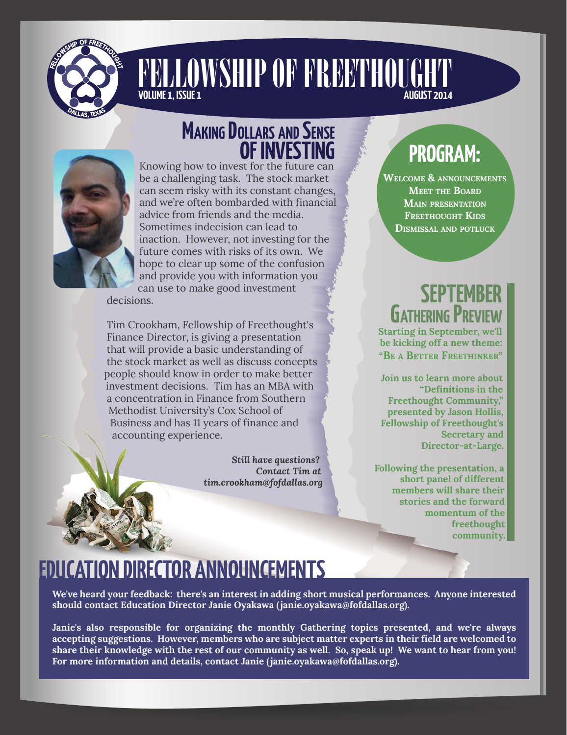

## **VOLUME 1, ISSUE 1** [FELLOWSHIP OF FREETHOUGHT](http://fofdallas.org)



## **MAKING DOLLARS AND SENSE OF INVESTING**

Knowing how to invest for the future can be a challenging task. The stock market can seem risky with its constant changes, and we're often bombarded with financial advice from friends and the media. Sometimes indecision can lead to inaction. However, not investing for the future comes with risks of its own. We hope to clear up some of the confusion and provide you with information you can use to make good investment

decisions.

Tim Crookham, Fellowship of Freethought's Finance Director, is giving a presentation that will provide a basic understanding of the stock market as well as discuss concepts people should know in order to make better investment decisions. Tim has an MBA with a concentration in Finance from Southern Methodist University's Cox School of Business and has 11 years of finance and accounting experience.

> *Still have questions? Contact Tim at tim.crookham@fofdallas.org*

# **PROGRAM:**

**WELCOME & ANNOUNCEMENTS MEET THE BOARD MAIN PRESENTATION FREETHOUGHT KIDS DISMISSAL AND POTLUCK**

## **SEPTEMBER GATHERING PREV**

**Starting in September, we'll be kicking off a new theme: "BE A BETTER FREETHINKER"** 

**Join us to learn more about "Definitions in the Freethought Community," presented by Jason Hollis, Fellowship of Freethought's Secretary and Director-at-Large.**

**Following the presentation, a short panel of different members will share their stories and the forward momentum of the freethought community.**

## **EDUCATION DIRECTOR ANNOUNCEMENTS**

**We've heard your feedback: there's an interest in adding short musical performances. Anyone interested should contact Education Director Janie Oyakawa (janie.oyakawa@fofdallas.org).**

**Janie's also responsible for organizing the monthly Gathering topics presented, and we're always accepting suggestions. However, members who are subject matter experts in their field are welcomed to share their knowledge with the rest of our community as well. So, speak up! We want to hear from you! For more information and details, contact Janie (janie.oyakawa@fofdallas.org).**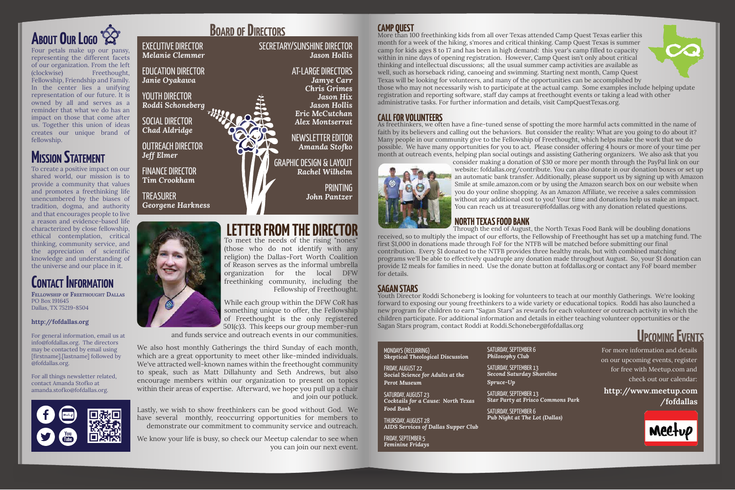Four petals make up our pansy, representing the different facets of our organization. From the left (clockwise) Freethought, Fellowship, Friendship and Family. In the center lies a unifying representation of our future. It is owned by all and serves as a reminder that what we do has an impact on those that come after us. Together this union of ideas creates our unique brand of fellowship.

## **MISSION STATEMENT**



To meet the needs of the rising "nones" (those who do not identify with any religion) the Dallas-Fort Worth Coalition of Reason serves as the informal umbrella organization for the local DFW freethinking community, including the Fellowship of Freethought.

While each group within the DFW CoR has something unique to offer, the Fellowship of Freethought is the only registered 501(c)3. This keeps our group member-run

and funds service and outreach events in our communities.

**TREASURER** *Georgene Harkness*



We also host monthly Gatherings the third Sunday of each month, which are a great opportunity to meet other like-minded individuals. We've attracted well-known names within the freethought community to speak, such as Matt Dillahunty and Seth Andrews, but also encourage members within our organization to present on topics within their areas of expertise. Afterward, we hope you pull up a chair and join our potluck.

Lastly, we wish to show freethinkers can be good without God. We have several monthly, reoccurring opportunities for members to demonstrate our commitment to community service and outreach.

We know your life is busy, so check our Meetup calendar to see when you can join our next event.

## **LETTER FROM THE DIRECTOR**

## **BOARD OF DIRECTORS**

SECRETARY/SUNSHINE DIRECTOR *Jason Hollis*

> AT-LARGE DIRECTORS *Jamye Carr Chris Grimes Jason Hix Jason Hollis Eric McCutchan Alex Montserrat*

NEWSLETTER EDITOR *Amanda Stofko*

GRAPHIC DESIGN & LAYOUT *Rachel Wilhelm*

> PRINTING *John Pantzer*

## EXECUTIVE DIRECTOR

*Melanie Clemmer*

EDUCATION DIRECTOR *Janie Oyakawa*

YOUTH DIRECTOR *Roddi Schoneberg*

SOCIAL DIRECTOR *Chad Aldridge*

OUTREACH DIRECTOR *Jeff Elmer*

FINANCE DIRECTOR *Tim Crookham*

To create a positive impact on our shared world, our mission is to provide a community that values and promotes a freethinking life unencumbered by the biases of tradition, dogma, and authority and that encourages people to live a reason and evidence-based life characterized by close fellowship, ethical contemplation, critical thinking, community service, and the appreciation of scientific knowledge and understanding of the universe and our place in it.

**FELLOWSHIP OF FREETHOUGHT DALLAS** PO Box 191645 Dallas, TX 75219-8504

#### **<http://fofdallas.org>**

For general information, email us at info@fofdallas.org. The directors may be contacted by email using [firstname].[lastname] followed by @fofdallas.org.

For all things newsletter related, contact Amanda Stofko at amanda.stofko@fofdallas.org.



## **CONTACT INFORMATION**

#### **CAMP QUEST**

More than 100 freethinking kids from all over Texas attended Camp Quest Texas earlier this month for a week of the hiking, s'mores and critical thinking. Camp Quest Texas is summer camp for kids ages 8 to 17 and has been in high demand: this year's camp filled to capacity within in nine days of opening registration. However, Camp Quest isn't only about critical thinking and intellectual discussions; all the usual summer camp activities are available as well, such as horseback riding, canoeing and swimming. Starting next month, Camp Quest Texas will be looking for volunteers, and many of the opportunities can be accomplished by those who may not necessarily wish to participate at the actual camp. Some examples include helping update registration and reporting software, staff day camps at freethought events or taking a lead with other administrative tasks. For further information and details, visit CampQuestTexas.org.

### **CALL FOR VOLUNTEERS**

As freethinkers, we often have a fine-tuned sense of spotting the more harmful acts committed in the name of faith by its believers and calling out the behaviors. But consider the reality: What are you going to do about it? Many people in our community give to the Fellowship of Freethought, which helps make the work that we do possible. We have many opportunities for you to act. Please consider offering 4 hours or more of your time per month at outreach events, helping plan social outings and assisting Gathering organizers. We also ask that you consider making a donation of \$30 or more per month through the PayPal link on our website: fofdallas.org/contribute. You can also donate in our donation boxes or set up an automatic bank transfer. Additionally, please support us by signing up with Amazon Smile at smile.amazon.com or by using the Amazon search box on our website when you do your online shopping. As an Amazon Affiliate, we receive a sales commission without any additional cost to you! Your time and donations help us make an impact. You can reach us at treasurer@fofdallas.org with any donation related questions.



### **NORTH TEXAS FOOD BANK**

Through the end of August, the North Texas Food Bank will be doubling donations

received, so to multiply the impact of our efforts, the Fellowship of Freethought has set up a matching fund. The first \$1,000 in donations made through FoF for the NTFB will be matched before submitting our final contribution. Every \$1 donated to the NTFB provides three healthy meals, but with combined matching programs we'll be able to effectively quadruple any donation made throughout August. So, your \$1 donation can provide 12 meals for families in need. Use the donate button at fofdallas.org or contact any FoF board member for details.

#### **SAGAN STARS**

Youth Director Roddi Schoneberg is looking for volunteers to teach at our monthly Gatherings. We're looking forward to exposing our young freethinkers to a wide variety or educational topics. Roddi has also launched a new program for children to earn "Sagan Stars" as rewards for each volunteer or outreach activity in which the children participate. For additional information and details in either teaching volunteer opportunities or the Sagan Stars program, contact Roddi at Roddi.Schoneberg@fofdallas.org

# **UPCOMING EVENTS**

#### MONDAYS (RECURRING) *Skeptical Theological Discussion*

FRIDAY, AUGUST 22 *Social Science for Adults at the* 

*Perot Museum*

SATURDAY, AUGUST 23 *Cocktails for a Cause: North Texas Food Bank*

THURSDAY, AUGUST 28 *AIDS Services of Dallas Supper Club*

FRIDAY, SEPTEMBER 5 *Feminine Fridays*



**[http://www.meetup.com](http://www.meetup.com/fofdallas) /fofdallas**



For more information and details on our upcoming events, register for free with Meetup.com and check out our calendar:

SATURDAY, SEPTEMBER 6 *Philosophy Club*

SATURDAY, SEPTEMBER 13 *Second Saturday Shoreline Spruce-Up*

SATURDAY, SEPTEMBER 13 *Star Party at Frisco Commons Park*

SATURDAY, SEPTEMBER 6 *Pub Night at The Lot (Dallas)*